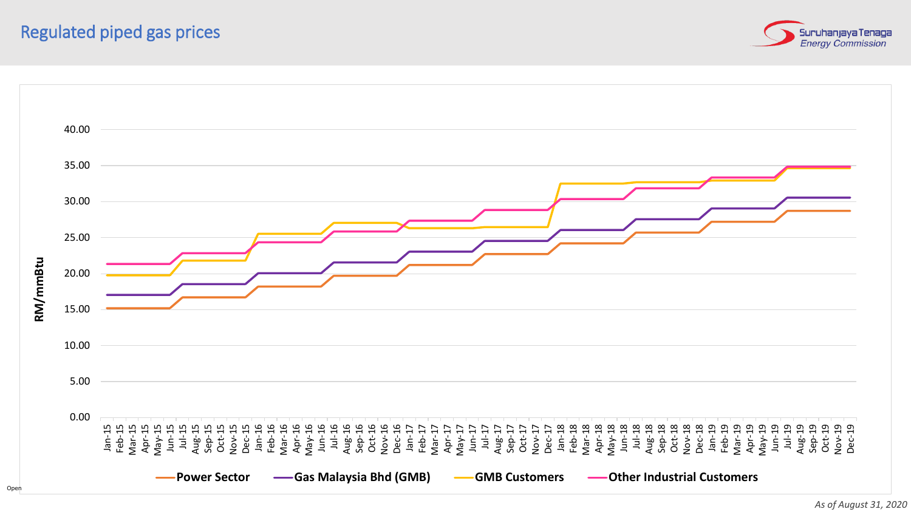



*As of August 31, 2020*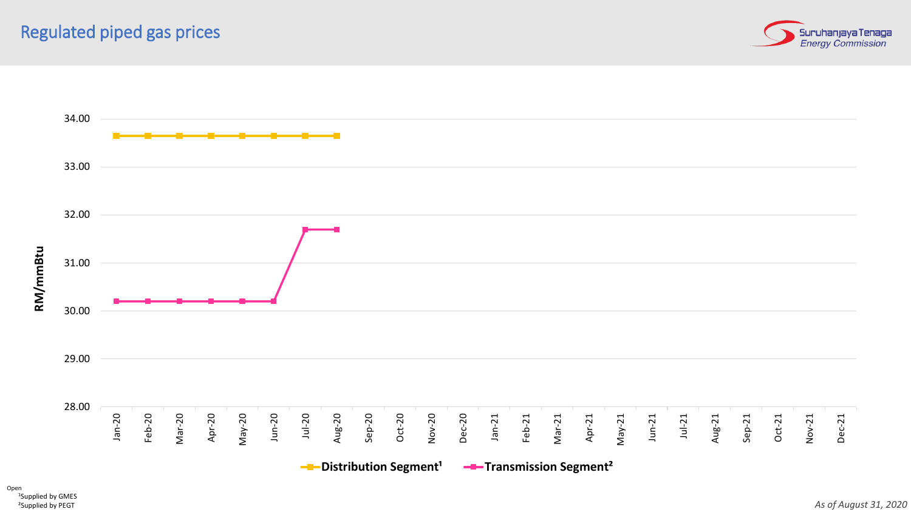



<sup>1</sup>Supplied by GMES ²Supplied by PEGT Open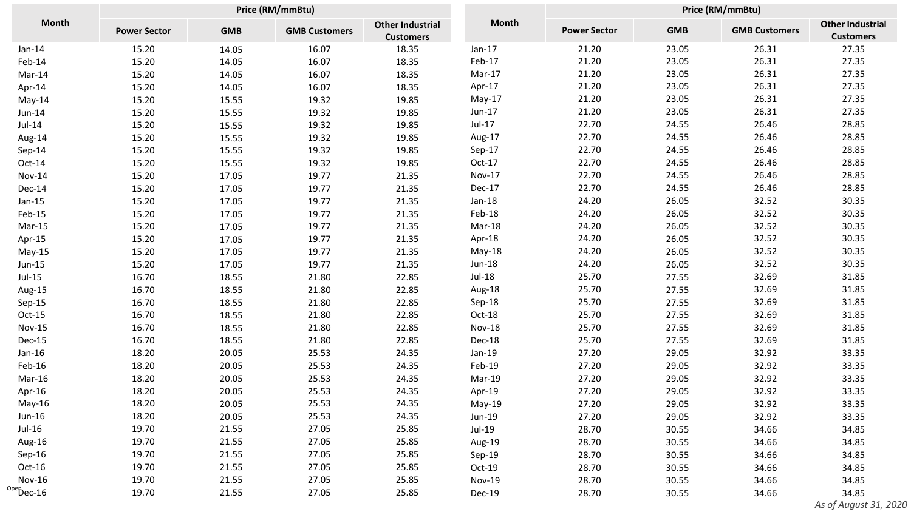| <b>Month</b>           | Price (RM/mmBtu)    |            |                      |                                             |               | Price (RM/mmBtu)    |            |                      |                                             |
|------------------------|---------------------|------------|----------------------|---------------------------------------------|---------------|---------------------|------------|----------------------|---------------------------------------------|
|                        | <b>Power Sector</b> | <b>GMB</b> | <b>GMB Customers</b> | <b>Other Industrial</b><br><b>Customers</b> | <b>Month</b>  | <b>Power Sector</b> | <b>GMB</b> | <b>GMB Customers</b> | <b>Other Industrial</b><br><b>Customers</b> |
| $Jan-14$               | 15.20               | 14.05      | 16.07                | 18.35                                       | $Jan-17$      | 21.20               | 23.05      | 26.31                | 27.35                                       |
| Feb-14                 | 15.20               | 14.05      | 16.07                | 18.35                                       | Feb-17        | 21.20               | 23.05      | 26.31                | 27.35                                       |
| Mar-14                 | 15.20               | 14.05      | 16.07                | 18.35                                       | Mar-17        | 21.20               | 23.05      | 26.31                | 27.35                                       |
| Apr-14                 | 15.20               | 14.05      | 16.07                | 18.35                                       | Apr-17        | 21.20               | 23.05      | 26.31                | 27.35                                       |
| $May-14$               | 15.20               | 15.55      | 19.32                | 19.85                                       | $May-17$      | 21.20               | 23.05      | 26.31                | 27.35                                       |
| Jun-14                 | 15.20               | 15.55      | 19.32                | 19.85                                       | Jun-17        | 21.20               | 23.05      | 26.31                | 27.35                                       |
| $Jul-14$               | 15.20               | 15.55      | 19.32                | 19.85                                       | $Jul-17$      | 22.70               | 24.55      | 26.46                | 28.85                                       |
| Aug-14                 | 15.20               | 15.55      | 19.32                | 19.85                                       | Aug-17        | 22.70               | 24.55      | 26.46                | 28.85                                       |
| Sep-14                 | 15.20               | 15.55      | 19.32                | 19.85                                       | Sep-17        | 22.70               | 24.55      | 26.46                | 28.85                                       |
| Oct-14                 | 15.20               | 15.55      | 19.32                | 19.85                                       | $Oct-17$      | 22.70               | 24.55      | 26.46                | 28.85                                       |
| <b>Nov-14</b>          | 15.20               | 17.05      | 19.77                | 21.35                                       | Nov-17        | 22.70               | 24.55      | 26.46                | 28.85                                       |
| Dec-14                 | 15.20               | 17.05      | 19.77                | 21.35                                       | Dec-17        | 22.70               | 24.55      | 26.46                | 28.85                                       |
| $Jan-15$               | 15.20               | 17.05      | 19.77                | 21.35                                       | $Jan-18$      | 24.20               | 26.05      | 32.52                | 30.35                                       |
| Feb-15                 | 15.20               | 17.05      | 19.77                | 21.35                                       | Feb-18        | 24.20               | 26.05      | 32.52                | 30.35                                       |
| $Mar-15$               | 15.20               | 17.05      | 19.77                | 21.35                                       | Mar-18        | 24.20               | 26.05      | 32.52                | 30.35                                       |
| Apr-15                 | 15.20               | 17.05      | 19.77                | 21.35                                       | Apr-18        | 24.20               | 26.05      | 32.52                | 30.35                                       |
| $May-15$               | 15.20               | 17.05      | 19.77                | 21.35                                       | $May-18$      | 24.20               | 26.05      | 32.52                | 30.35                                       |
| Jun-15                 | 15.20               | 17.05      | 19.77                | 21.35                                       | Jun-18        | 24.20               | 26.05      | 32.52                | 30.35                                       |
| $Jul-15$               | 16.70               | 18.55      | 21.80                | 22.85                                       | $Jul-18$      | 25.70               | 27.55      | 32.69                | 31.85                                       |
| Aug-15                 | 16.70               | 18.55      | 21.80                | 22.85                                       | Aug-18        | 25.70               | 27.55      | 32.69                | 31.85                                       |
| Sep-15                 | 16.70               | 18.55      | 21.80                | 22.85                                       | Sep-18        | 25.70               | 27.55      | 32.69                | 31.85                                       |
| Oct-15                 | 16.70               | 18.55      | 21.80                | 22.85                                       | Oct-18        | 25.70               | 27.55      | 32.69                | 31.85                                       |
| <b>Nov-15</b>          | 16.70               | 18.55      | 21.80                | 22.85                                       | <b>Nov-18</b> | 25.70               | 27.55      | 32.69                | 31.85                                       |
| Dec-15                 | 16.70               | 18.55      | 21.80                | 22.85                                       | Dec-18        | 25.70               | 27.55      | 32.69                | 31.85                                       |
| Jan-16                 | 18.20               | 20.05      | 25.53                | 24.35                                       | Jan-19        | 27.20               | 29.05      | 32.92                | 33.35                                       |
| Feb-16                 | 18.20               | 20.05      | 25.53                | 24.35                                       | Feb-19        | 27.20               | 29.05      | 32.92                | 33.35                                       |
| Mar-16                 | 18.20               | 20.05      | 25.53                | 24.35                                       | Mar-19        | 27.20               | 29.05      | 32.92                | 33.35                                       |
| Apr-16                 | 18.20               | 20.05      | 25.53                | 24.35                                       | Apr-19        | 27.20               | 29.05      | 32.92                | 33.35                                       |
| $May-16$               | 18.20               | 20.05      | 25.53                | 24.35                                       | May-19        | 27.20               | 29.05      | 32.92                | 33.35                                       |
| Jun-16                 | 18.20               | 20.05      | 25.53                | 24.35                                       | Jun-19        | 27.20               | 29.05      | 32.92                | 33.35                                       |
| Jul-16                 | 19.70               | 21.55      | 27.05                | 25.85                                       | Jul-19        | 28.70               | 30.55      | 34.66                | 34.85                                       |
| Aug-16                 | 19.70               | 21.55      | 27.05                | 25.85                                       | Aug-19        | 28.70               | 30.55      | 34.66                | 34.85                                       |
| Sep-16                 | 19.70               | 21.55      | 27.05                | 25.85                                       | Sep-19        | 28.70               | 30.55      | 34.66                | 34.85                                       |
| Oct-16                 | 19.70               | 21.55      | 27.05                | 25.85                                       | Oct-19        | 28.70               | 30.55      | 34.66                | 34.85                                       |
| <b>Nov-16</b>          | 19.70               | 21.55      | 27.05                | 25.85                                       | <b>Nov-19</b> | 28.70               | 30.55      | 34.66                | 34.85                                       |
| $^{\text{Ope}}$ Dec-16 | 19.70               | 21.55      | 27.05                | 25.85                                       | Dec-19        | 28.70               | 30.55      | 34.66                | 34.85                                       |